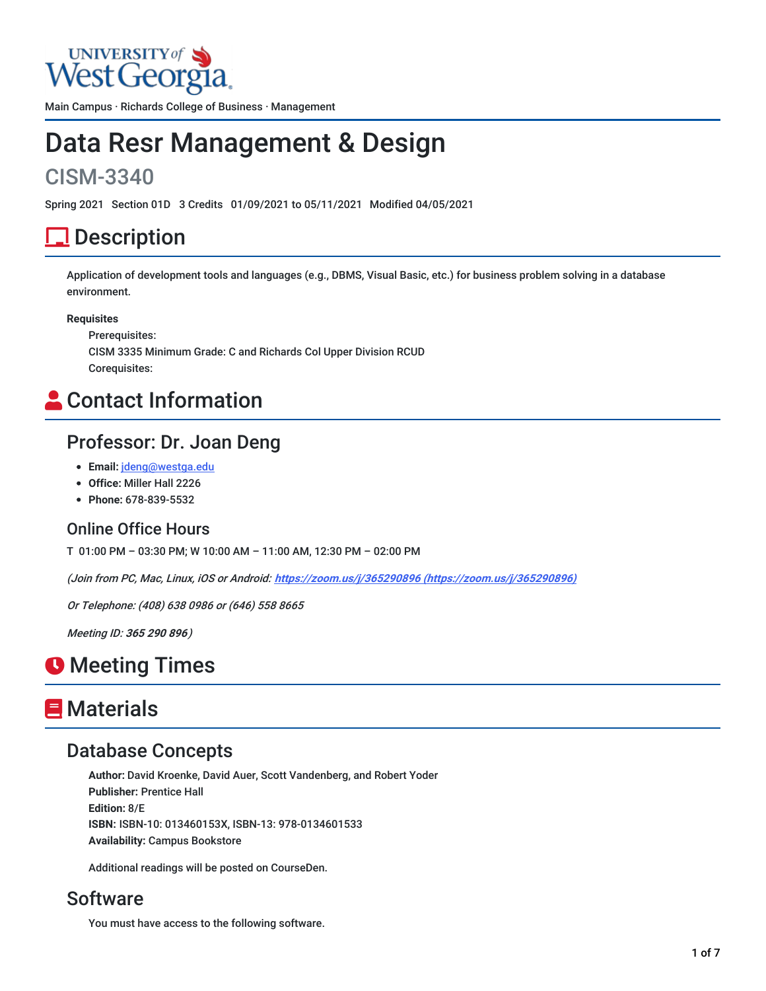

Main Campus · Richards College of Business · Management

# Data Resr Management & Design

# CISM-3340

Spring 2021 Section 01D 3 Credits 01/09/2021 to 05/11/2021 Modified 04/05/2021

# <u>l</u> Description

Application of development tools and languages (e.g., DBMS, Visual Basic, etc.) for business problem solving in a database environment.

#### **Requisites**

Prerequisites: CISM 3335 Minimum Grade: C and Richards Col Upper Division RCUD Corequisites:

# **Contact Information**

### Professor: Dr. Joan Deng

- **Email:** [jdeng@westga.edu](mailto:jdeng@westga.edu)
- **Office:** Miller Hall 2226
- **Phone:** 678-839-5532

#### Online Office Hours

T 01:00 PM – 03:30 PM; W 10:00 AM – 11:00 AM, 12:30 PM – 02:00 PM

(Join from PC, Mac, Linux, iOS or Android: **https://zoom.us/j/365290896 [\(https://zoom.us/j/365290896\)](https://zoom.us/j/365290896)**

Or Telephone: (408) 638 0986 or (646) 558 8665

Meeting ID: **365 290 896**)

# **O** Meeting Times

# **E** Materials

### Database Concepts

**Author:** David Kroenke, David Auer, Scott Vandenberg, and Robert Yoder **Publisher:** Prentice Hall **Edition:** 8/E **ISBN:** ISBN-10: 013460153X, ISBN-13: 978-0134601533 **Availability:** Campus Bookstore

Additional readings will be posted on CourseDen.

### **Software**

You must have access to the following software.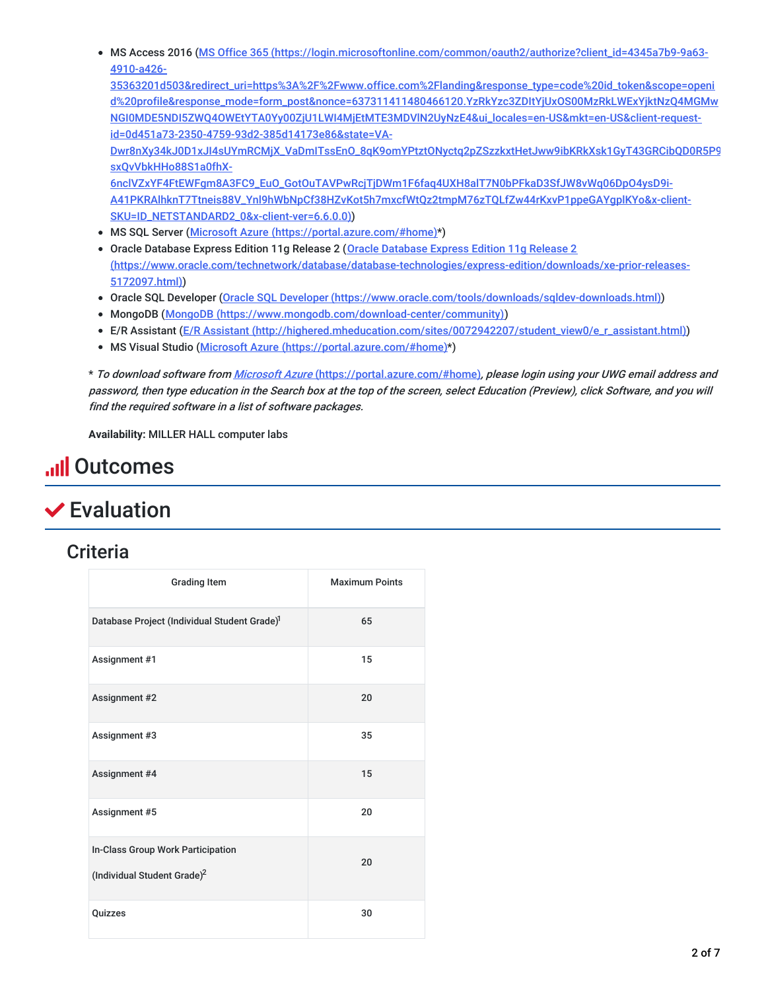MS Access 2016 (MS Office 365 (https://login.microsoftonline.com/common/oauth2/authorize?client\_id=4345a7b9-9a63- 4910-a426-

| 35363201d503&redirect_uri=https%3A%2F%2Fwww.office.com%2Flanding&response_type=code%20id_token&scope=openi |
|------------------------------------------------------------------------------------------------------------|
| d%20profile&response_mode=form_post&nonce=637311411480466120.YzRkYzc3ZDItYjUxOS00MzRkLWExYjktNzQ4MGMw      |
| NGI0MDE5NDI5ZWQ40WEtYTA0Yy00ZjU1LWI4MjEtMTE3MDVIN2UyNzE4&ui_locales=en-US&mkt=en-US&client-request-        |
| id=0d451a73-2350-4759-93d2-385d14173e86&state=VA-                                                          |
| Dwr8nXy34kJ0D1xJl4sUYmRCMjX_VaDmlTssEnO_8qK9omYPtztONyctq2pZSzzkxtHetJww9ibKRkXsk1GyT43GRCibQD0R5P9        |
| sxOvVbkHHo88S1a0fhX-                                                                                       |
| 6nclVZxYF4FtEWFgm8A3FC9_EuO_GotOuTAVPwRcjTjDWm1F6faq4UXH8alT7N0bPFkaD3SfJW8vWq06DpO4ysD9i-                 |
| A41PKRAlhknT7Ttneis88V_Ynl9hWbNpCf38HZvKot5h7mxcfWtQz2tmpM76zTQLfZw44rKxvP1ppeGAYgplKYo&x-client-          |
| SKU=ID_NETSTANDARD2_0&x-client-ver=6.6.0.0))                                                               |

- MS SQL Server (Microsoft Azure [\(https://portal.azure.com/#home\)](https://portal.azure.com/#home)\*)
- Oracle Database Express Edition 11g Release 2 (Oracle Database Express Edition 11g Release 2 [\(https://www.oracle.com/technetwork/database/database-technologies/express-edition/downloads/xe-prior-releases-](https://www.oracle.com/technetwork/database/database-technologies/express-edition/downloads/xe-prior-releases-5172097.html)5172097.html))
- Oracle SQL Developer (Oracle SQL Developer [\(https://www.oracle.com/tools/downloads/sqldev-downloads.html\)](https://www.oracle.com/tools/downloads/sqldev-downloads.html))
- MongoDB (MongoDB [\(https://www.mongodb.com/download-center/community\)](https://www.mongodb.com/download-center/community))
- E/R Assistant (E/R Assistant [\(http://highered.mheducation.com/sites/0072942207/student\\_view0/e\\_r\\_assistant.html\)](http://highered.mheducation.com/sites/0072942207/student_view0/e_r_assistant.html))
- MS Visual Studio (Microsoft Azure [\(https://portal.azure.com/#home\)](https://portal.azure.com/#home)\*)

\* To download software from Microsoft Azure [\(https://portal.azure.com/#home\)](https://portal.azure.com/#home), please login using your UWG email address and password, then type education in the Search box at the top of the screen, select Education (Preview), click Software, and you will find the required software in <sup>a</sup> list of software packages.

**Availability:** MILLER HALL computer labs

# **Ill Outcomes**

# Evaluation

#### **Criteria**

| <b>Grading Item</b>                                                          | <b>Maximum Points</b> |
|------------------------------------------------------------------------------|-----------------------|
| Database Project (Individual Student Grade) <sup>1</sup>                     | 65                    |
| Assignment #1                                                                | 15                    |
| Assignment #2                                                                | 20                    |
| Assignment #3                                                                | 35                    |
| Assignment #4                                                                | 15                    |
| Assignment #5                                                                | 20                    |
| In-Class Group Work Participation<br>(Individual Student Grade) <sup>2</sup> | 20                    |
| Quizzes                                                                      | 30                    |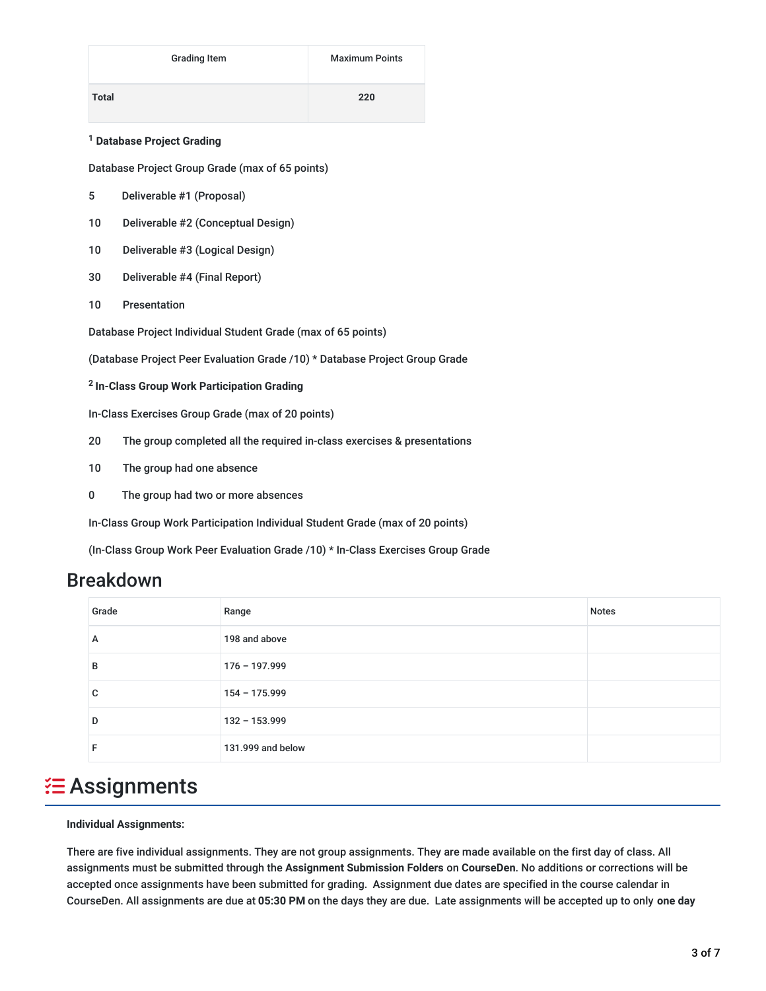|              | <b>Grading Item</b> | <b>Maximum Points</b> |
|--------------|---------------------|-----------------------|
| <b>Total</b> |                     | 220                   |

#### **Database Project Grading 1**

Database Project Group Grade (max of 65 points)

- 5 Deliverable #1 (Proposal)
- 10 Deliverable #2 (Conceptual Design)
- 10 Deliverable #3 (Logical Design)
- 30 Deliverable #4 (Final Report)
- 10 Presentation

Database Project Individual Student Grade (max of 65 points)

(Database Project Peer Evaluation Grade /10) \* Database Project Group Grade

**In-Class Group Work Participation Grading 2**

In-Class Exercises Group Grade (max of 20 points)

- 20 The group completed all the required in-class exercises & presentations
- 10 The group had one absence
- 0 The group had two or more absences

In-Class Group Work Participation Individual Student Grade (max of 20 points)

(In-Class Group Work Peer Evaluation Grade /10) \* In-Class Exercises Group Grade

#### Breakdown

| Grade | Range             | <b>Notes</b> |
|-------|-------------------|--------------|
| A     | 198 and above     |              |
| в     | $176 - 197.999$   |              |
| C     | $154 - 175.999$   |              |
| D     | 132 - 153.999     |              |
| F     | 131.999 and below |              |

### **<del>2</del>** Assignments

#### **Individual Assignments:**

There are five individual assignments. They are not group assignments. They are made available on the first day of class. All assignments must be submitted through the **Assignment Submission Folders** on **CourseDen**. No additions or corrections will be accepted once assignments have been submitted for grading. Assignment due dates are specified in the course calendar in CourseDen. All assignments are due at **05:30 PM** on the days they are due. Late assignments will be accepted up to only **one day**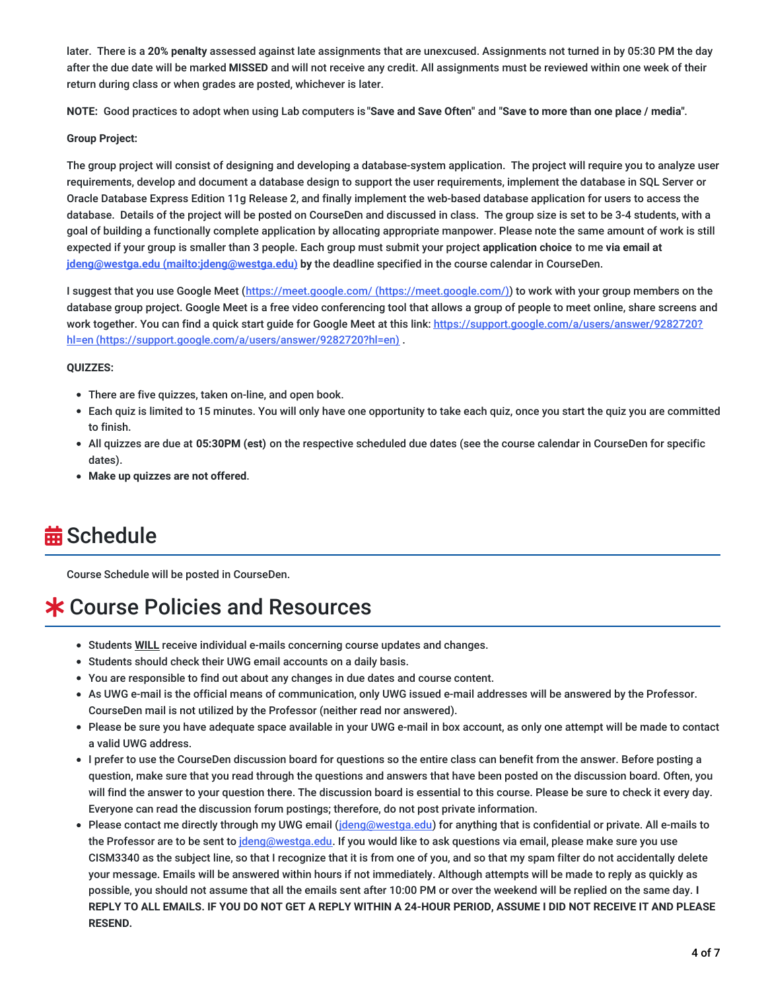later. There is a **20% penalty** assessed against late assignments that are unexcused. Assignments not turned in by 05:30 PM the day after the due date will be marked **MISSED** and will not receive any credit. All assignments must be reviewed within one week of their return during class or when grades are posted, whichever is later.

**NOTE:** Good practices to adopt when using Lab computers is **"Save and Save Often"** and **"Save to more than one place / media"**.

#### **Group Project:**

The group project will consist of designing and developing a database-system application. The project will require you to analyze user requirements, develop and document a database design to support the user requirements, implement the database in SQL Server or Oracle Database Express Edition 11g Release 2, and finally implement the web-based database application for users to access the database. Details of the project will be posted on CourseDen and discussed in class. The group size is set to be 3-4 students, with a goal of building a functionally complete application by allocating appropriate manpower. Please note the same amount of work is still expected if your group is smaller than 3 people. Each group must submit your project **application choice** to me **via email at jdeng@westga.edu [\(mailto:jdeng@westga.edu\)](mailto:jdeng@westga.edu) by** the deadline specified in the course calendar in CourseDen.

I suggest that you use Google Meet (https://meet.google.com/ [\(https://meet.google.com/\)](https://meet.google.com/)) to work with your group members on the database group project. Google Meet is a free video conferencing tool that allows a group of people to meet online, share screens and work together. You can find a quick start guide for Google Meet at this link: https://support.google.com/a/users/answer/9282720? hl=en [\(https://support.google.com/a/users/answer/9282720?hl=en\)](https://support.google.com/a/users/answer/9282720?hl=en) .

#### **QUIZZES:**

- There are five quizzes, taken on-line, and open book.
- Each quiz is limited to 15 minutes. You will only have one opportunity to take each quiz, once you start the quiz you are committed to finish.
- All quizzes are due at **05:30PM (est)** on the respective scheduled due dates (see the course calendar in CourseDen for specific dates).
- **Make up quizzes are not offered**.

# **益 Schedule**

Course Schedule will be posted in CourseDen.

# Course Policies and Resources

- Students **WILL** receive individual e-mails concerning course updates and changes.
- Students should check their UWG email accounts on a daily basis.
- You are responsible to find out about any changes in due dates and course content.
- As UWG e-mail is the official means of communication, only UWG issued e-mail addresses will be answered by the Professor. CourseDen mail is not utilized by the Professor (neither read nor answered).
- Please be sure you have adequate space available in your UWG e-mail in box account, as only one attempt will be made to contact a valid UWG address.
- I prefer to use the CourseDen discussion board for questions so the entire class can benefit from the answer. Before posting a question, make sure that you read through the questions and answers that have been posted on the discussion board. Often, you will find the answer to your question there. The discussion board is essential to this course. Please be sure to check it every day. Everyone can read the discussion forum postings; therefore, do not post private information.
- Please contact me directly through my UWG email ([jdeng@westga.edu](mailto:jdeng@westga.edu)) for anything that is confidential or private. All e-mails to the Professor are to be sent to *[jdeng@westga.edu](mailto:jdeng@westga.edu).* If you would like to ask questions via email, please make sure you use CISM3340 as the subject line, so that I recognize that it is from one of you, and so that my spam filter do not accidentally delete your message. Emails will be answered within hours if not immediately. Although attempts will be made to reply as quickly as possible, you should not assume that all the emails sent after 10:00 PM or over the weekend will be replied on the same day. **I** REPLY TO ALL EMAILS. IF YOU DO NOT GET A REPLY WITHIN A 24-HOUR PERIOD, ASSUME I DID NOT RECEIVE IT AND PLEASE **RESEND.**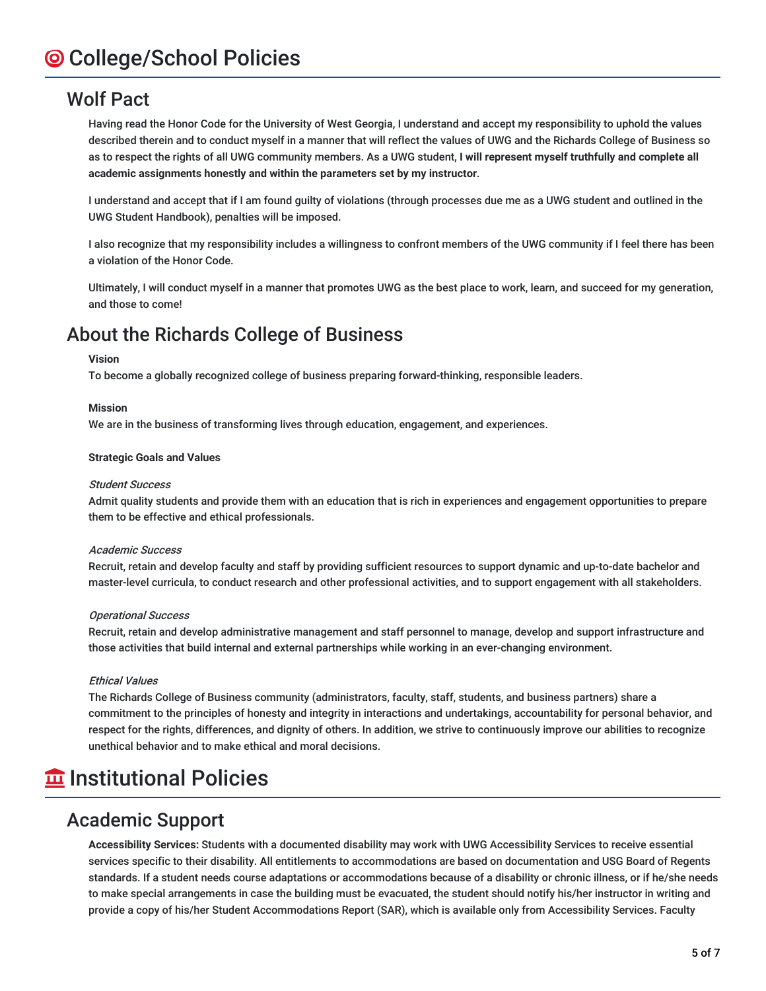### Wolf Pact

Having read the Honor Code for the University of West Georgia, I understand and accept my responsibility to uphold the values described therein and to conduct myself in a manner that will reflect the values of UWG and the Richards College of Business so as to respect the rights of all UWG community members. As a UWG student, **I will represent myself truthfully and complete all academic assignments honestly and within the parameters set by my instructor**.

I understand and accept that if I am found guilty of violations (through processes due me as a UWG student and outlined in the UWG Student Handbook), penalties will be imposed.

I also recognize that my responsibility includes a willingness to confront members of the UWG community if I feel there has been a violation of the Honor Code.

Ultimately, I will conduct myself in a manner that promotes UWG as the best place to work, learn, and succeed for my generation, and those to come!

### About the Richards College of Business

#### **Vision**

To become a globally recognized college of business preparing forward-thinking, responsible leaders.

#### **Mission**

We are in the business of transforming lives through education, engagement, and experiences.

#### **Strategic Goals and Values**

#### Student Success

Admit quality students and provide them with an education that is rich in experiences and engagement opportunities to prepare them to be effective and ethical professionals.

#### Academic Success

Recruit, retain and develop faculty and staff by providing sufficient resources to support dynamic and up-to-date bachelor and master-level curricula, to conduct research and other professional activities, and to support engagement with all stakeholders.

#### Operational Success

Recruit, retain and develop administrative management and staff personnel to manage, develop and support infrastructure and those activities that build internal and external partnerships while working in an ever-changing environment.

#### Ethical Values

The Richards College of Business community (administrators, faculty, staff, students, and business partners) share a commitment to the principles of honesty and integrity in interactions and undertakings, accountability for personal behavior, and respect for the rights, differences, and dignity of others. In addition, we strive to continuously improve our abilities to recognize unethical behavior and to make ethical and moral decisions.

# **Institutional Policies**

#### Academic Support

**Accessibility Services:** Students with a documented disability may work with UWG Accessibility Services to receive essential services specific to their disability. All entitlements to accommodations are based on documentation and USG Board of Regents standards. If a student needs course adaptations or accommodations because of a disability or chronic illness, or if he/she needs to make special arrangements in case the building must be evacuated, the student should notify his/her instructor in writing and provide a copy of his/her Student Accommodations Report (SAR), which is available only from Accessibility Services. Faculty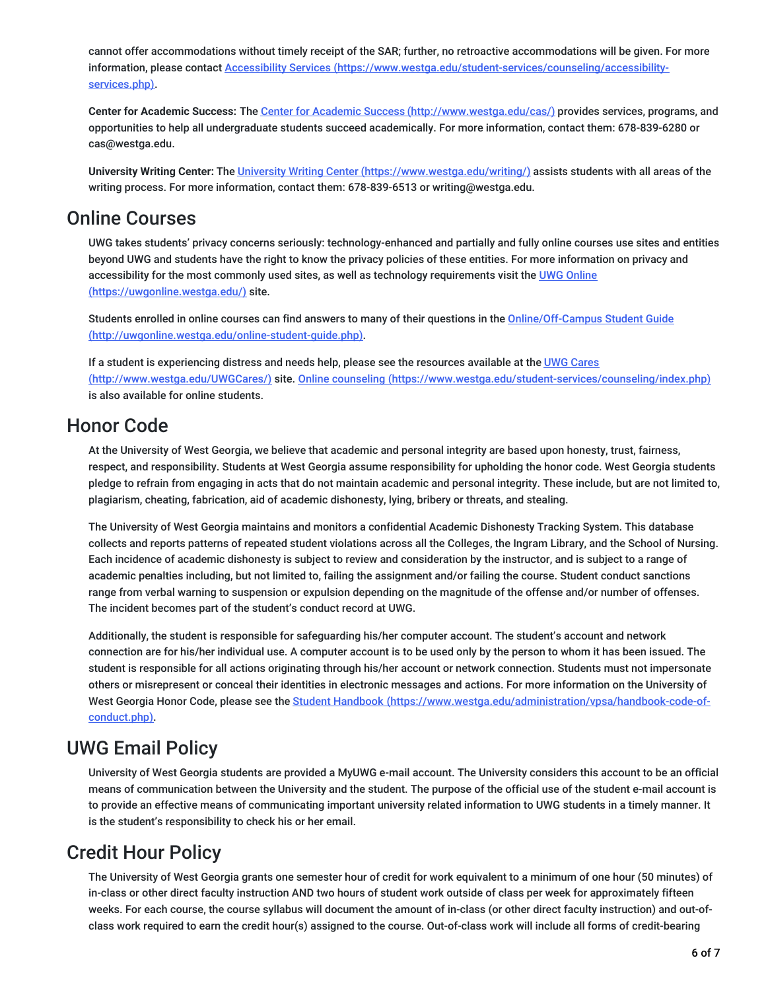cannot offer accommodations without timely receipt of the SAR; further, no retroactive accommodations will be given. For more information, please contact Accessibility Services [\(https://www.westga.edu/student-services/counseling/accessibility](https://www.westga.edu/student-services/counseling/accessibility-services.php)services.php).

**Center for Academic Success:** The Center for Academic Success [\(http://www.westga.edu/cas/\)](http://www.westga.edu/cas/) provides services, programs, and opportunities to help all undergraduate students succeed academically. For more information, contact them: 678-839-6280 or cas@westga.edu.

**University Writing Center:** The University Writing Center [\(https://www.westga.edu/writing/\)](https://www.westga.edu/writing/) assists students with all areas of the writing process. For more information, contact them: 678-839-6513 or writing@westga.edu.

### Online Courses

UWG takes students' privacy concerns seriously: technology-enhanced and partially and fully online courses use sites and entities beyond UWG and students have the right to know the privacy policies of these entities. For more information on privacy and accessibility for the most commonly used sites, as well as technology requirements visit the UWG Online [\(https://uwgonline.westga.edu/\)](https://uwgonline.westga.edu/) site.

Students enrolled in online courses can find answers to many of their questions in the Online/Off-Campus Student Guide [\(http://uwgonline.westga.edu/online-student-guide.php\).](http://uwgonline.westga.edu/online-student-guide.php)

If a student is experiencing distress and needs help, please see the resources available at the UWG Cares (http://www.westga.edu/UWGCares/) site. Online counseling [\(https://www.westga.edu/student-services](http://www.westga.edu/UWGCares/)[/counseling/index.php\)](https://www.westga.edu/student-services/counseling/index.php) is also available for online students.

### Honor Code

At the University of West Georgia, we believe that academic and personal integrity are based upon honesty, trust, fairness, respect, and responsibility. Students at West Georgia assume responsibility for upholding the honor code. West Georgia students pledge to refrain from engaging in acts that do not maintain academic and personal integrity. These include, but are not limited to, plagiarism, cheating, fabrication, aid of academic dishonesty, lying, bribery or threats, and stealing.

The University of West Georgia maintains and monitors a confidential Academic Dishonesty Tracking System. This database collects and reports patterns of repeated student violations across all the Colleges, the Ingram Library, and the School of Nursing. Each incidence of academic dishonesty is subject to review and consideration by the instructor, and is subject to a range of academic penalties including, but not limited to, failing the assignment and/or failing the course. Student conduct sanctions range from verbal warning to suspension or expulsion depending on the magnitude of the offense and/or number of offenses. The incident becomes part of the student's conduct record at UWG.

Additionally, the student is responsible for safeguarding his/her computer account. The student's account and network connection are for his/her individual use. A computer account is to be used only by the person to whom it has been issued. The student is responsible for all actions originating through his/her account or network connection. Students must not impersonate others or misrepresent or conceal their identities in electronic messages and actions. For more information on the University of West Georgia Honor Code, please see the Student Handbook [\(https://www.westga.edu/administration/vpsa/handbook-code-of](https://www.westga.edu/administration/vpsa/handbook-code-of-conduct.php)conduct.php).

### UWG Email Policy

University of West Georgia students are provided a MyUWG e-mail account. The University considers this account to be an official means of communication between the University and the student. The purpose of the official use of the student e-mail account is to provide an effective means of communicating important university related information to UWG students in a timely manner. It is the student's responsibility to check his or her email.

## Credit Hour Policy

The University of West Georgia grants one semester hour of credit for work equivalent to a minimum of one hour (50 minutes) of in-class or other direct faculty instruction AND two hours of student work outside of class per week for approximately fifteen weeks. For each course, the course syllabus will document the amount of in-class (or other direct faculty instruction) and out-ofclass work required to earn the credit hour(s) assigned to the course. Out-of-class work will include all forms of credit-bearing